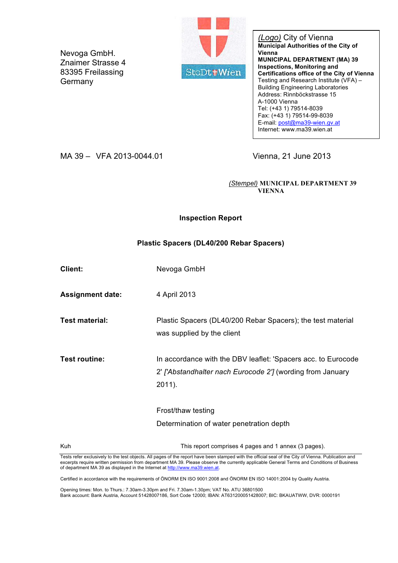Nevoga GmbH. Znaimer Strasse 4 83395 Freilassing **Germany** 



*(Logo)* City of Vienna **Municipal Authorities of the City of Vienna MUNICIPAL DEPARTMENT (MA) 39 Inspections, Monitoring and Certifications office of the City of Vienna** Testing and Research Institute (VFA) – Building Engineering Laboratories Address: Rinnböckstrasse 15 A-1000 Vienna Tel: (+43 1) 79514-8039 Fax: (+43 1) 79514-99-8039 E-mail: post@ma39-wien.gv.at Internet: www.ma39.wien.at

MA 39 – VFA 2013-0044.01 Vienna, 21 June 2013

*(Stempel)* **MUNICIPAL DEPARTMENT 39 VIENNA**

### **Inspection Report**

### **Plastic Spacers (DL40/200 Rebar Spacers)**

| Client:                 | Nevoga GmbH                                                                                                                           |
|-------------------------|---------------------------------------------------------------------------------------------------------------------------------------|
| <b>Assignment date:</b> | 4 April 2013                                                                                                                          |
| <b>Test material:</b>   | Plastic Spacers (DL40/200 Rebar Spacers); the test material<br>was supplied by the client                                             |
| Test routine:           | In accordance with the DBV leaflet: 'Spacers acc. to Eurocode<br>2' ['Abstandhalter nach Eurocode 2'] (wording from January<br>2011). |
|                         | Frost/thaw testing<br>Determination of water penetration depth                                                                        |
| Kuh                     | This report comprises 4 pages and 1 annex (3 pages).                                                                                  |

Tests refer exclusively to the test objects. All pages of the report have been stamped with the official seal of the City of Vienna. Publication and excerpts require written permission from department MA 39. Please observe the currently applicable General Terms and Conditions of Business of department MA 39 as displayed in the Internet at http://www.ma39.wien.at.

Certified in accordance with the requirements of ÖNORM EN ISO 9001:2008 and ÖNORM EN ISO 14001:2004 by Quality Austria.

Opening times: Mon. to Thurs.: 7.30am-3.30pm and Fri. 7.30am-1.30pm; VAT No. ATU 36801500 Bank account: Bank Austria, Account 51428007186, Sort Code 12000; IBAN: AT631200051428007; BIC: BKAUATWW, DVR: 0000191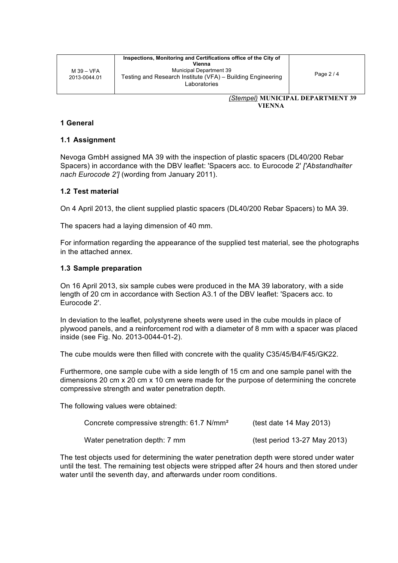Page 2 / 4

*(Stempel)* **MUNICIPAL DEPARTMENT 39 VIENNA**

#### **1 General**

#### **1.1 Assignment**

Nevoga GmbH assigned MA 39 with the inspection of plastic spacers (DL40/200 Rebar Spacers) in accordance with the DBV leaflet: 'Spacers acc. to Eurocode 2' *['Abstandhalter nach Eurocode 2']* (wording from January 2011).

#### **1.2 Test material**

On 4 April 2013, the client supplied plastic spacers (DL40/200 Rebar Spacers) to MA 39.

The spacers had a laying dimension of 40 mm.

For information regarding the appearance of the supplied test material, see the photographs in the attached annex.

#### **1.3 Sample preparation**

On 16 April 2013, six sample cubes were produced in the MA 39 laboratory, with a side length of 20 cm in accordance with Section A3.1 of the DBV leaflet: 'Spacers acc. to Eurocode 2'.

In deviation to the leaflet, polystyrene sheets were used in the cube moulds in place of plywood panels, and a reinforcement rod with a diameter of 8 mm with a spacer was placed inside (see Fig. No. 2013-0044-01-2).

The cube moulds were then filled with concrete with the quality C35/45/B4/F45/GK22.

Furthermore, one sample cube with a side length of 15 cm and one sample panel with the dimensions 20 cm x 20 cm x 10 cm were made for the purpose of determining the concrete compressive strength and water penetration depth.

The following values were obtained:

| Concrete compressive strength: 61.7 N/mm <sup>2</sup> | (test date $14$ May 2013)    |
|-------------------------------------------------------|------------------------------|
| Water penetration depth: 7 mm                         | (test period 13-27 May 2013) |

The test objects used for determining the water penetration depth were stored under water until the test. The remaining test objects were stripped after 24 hours and then stored under water until the seventh day, and afterwards under room conditions.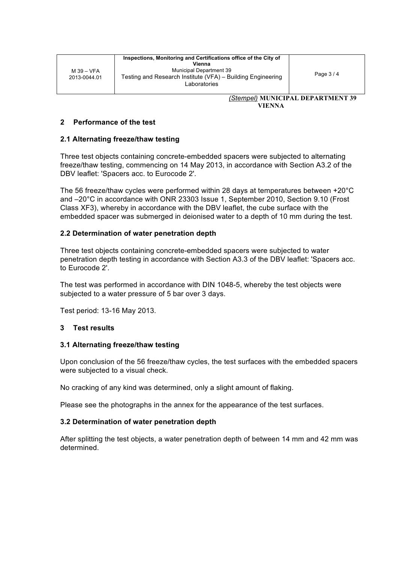*(Stempel)* **MUNICIPAL DEPARTMENT 39 VIENNA**

## **2 Performance of the test**

## **2.1 Alternating freeze/thaw testing**

Three test objects containing concrete-embedded spacers were subjected to alternating freeze/thaw testing, commencing on 14 May 2013, in accordance with Section A3.2 of the DBV leaflet: 'Spacers acc. to Eurocode 2'.

The 56 freeze/thaw cycles were performed within 28 days at temperatures between +20°C and –20°C in accordance with ONR 23303 Issue 1, September 2010, Section 9.10 (Frost Class XF3), whereby in accordance with the DBV leaflet, the cube surface with the embedded spacer was submerged in deionised water to a depth of 10 mm during the test.

## **2.2 Determination of water penetration depth**

Three test objects containing concrete-embedded spacers were subjected to water penetration depth testing in accordance with Section A3.3 of the DBV leaflet: 'Spacers acc. to Eurocode 2'.

The test was performed in accordance with DIN 1048-5, whereby the test objects were subjected to a water pressure of 5 bar over 3 days.

Test period: 13-16 May 2013.

# **3 Test results**

## **3.1 Alternating freeze/thaw testing**

Upon conclusion of the 56 freeze/thaw cycles, the test surfaces with the embedded spacers were subjected to a visual check.

No cracking of any kind was determined, only a slight amount of flaking.

Please see the photographs in the annex for the appearance of the test surfaces.

# **3.2 Determination of water penetration depth**

After splitting the test objects, a water penetration depth of between 14 mm and 42 mm was determined.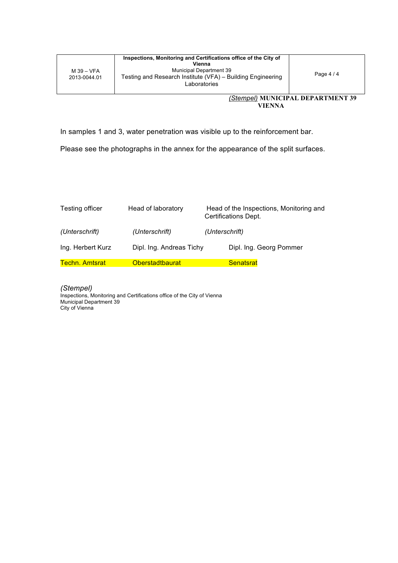In samples 1 and 3, water penetration was visible up to the reinforcement bar.

Please see the photographs in the annex for the appearance of the split surfaces.

| Testing officer       | Head of laboratory       | Head of the Inspections, Monitoring and<br>Certifications Dept. |
|-----------------------|--------------------------|-----------------------------------------------------------------|
| (Unterschrift)        | (Unterschrift)           | (Unterschrift)                                                  |
| Ing. Herbert Kurz     | Dipl. Ing. Andreas Tichy | Dipl. Ing. Georg Pommer                                         |
| <b>Techn. Amtsrat</b> | <b>Oberstadtbaurat</b>   | <b>Senatsrat</b>                                                |

*(Stempel)* Inspections, Monitoring and Certifications office of the City of Vienna Municipal Department 39 City of Vienna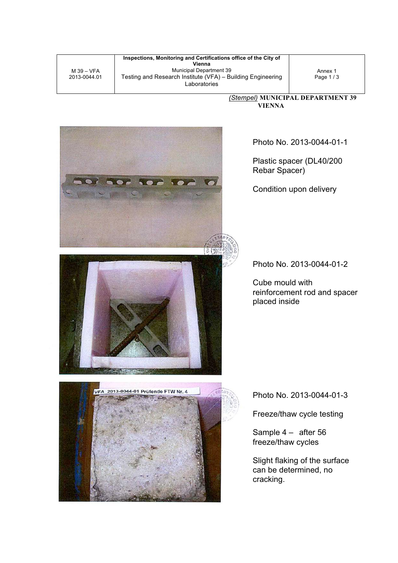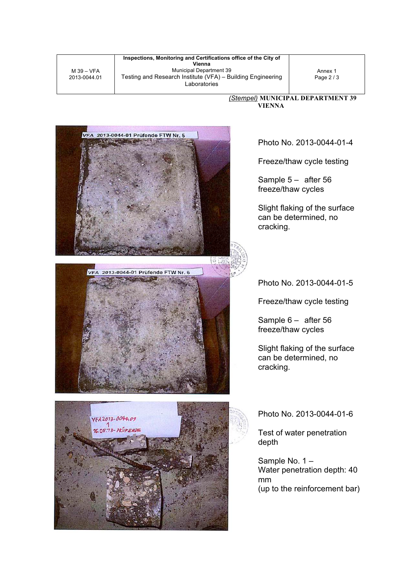M 39 – VFA 2013-0044.01

**Inspections, Monitoring and Certifications office of the City of Vienna** Municipal Department 39 Testing and Research Institute (VFA) – Building Engineering Laboratories

Annex 1 Page 2 / 3

*(Stempel)* **MUNICIPAL DEPARTMENT 39 VIENNA**



Photo No. 2013-0044-01-4

Freeze/thaw cycle testing

Sample 5 – after 56 freeze/thaw cycles

Slight flaking of the surface can be determined, no cracking.

Photo No. 2013-0044-01-5

Freeze/thaw cycle testing

Sample 6 – after 56 freeze/thaw cycles

Slight flaking of the surface can be determined, no cracking.

Photo No. 2013-0044-01-6

Test of water penetration depth

Sample No. 1 – Water penetration depth: 40 mm (up to the reinforcement bar)